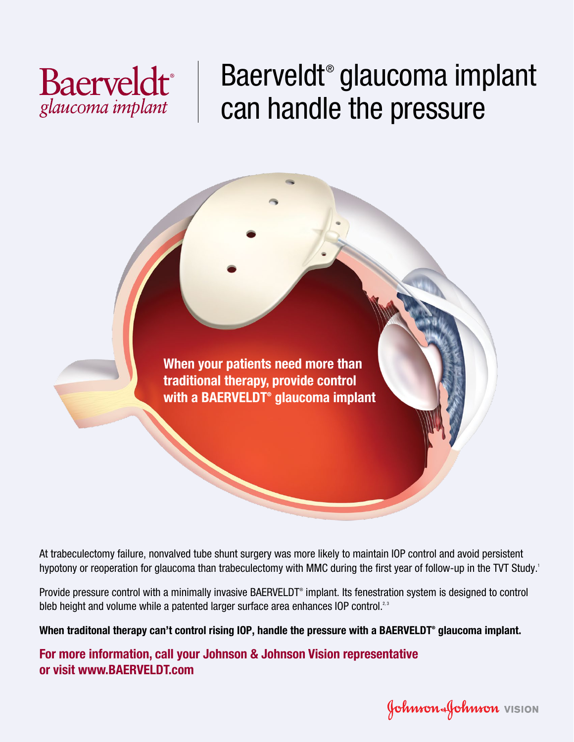

# Baerveldt® glaucoma implant can handle the pressure



At trabeculectomy failure, nonvalved tube shunt surgery was more likely to maintain IOP control and avoid persistent hypotony or reoperation for glaucoma than trabeculectomy with MMC during the first year of follow-up in the TVT Study.<sup>1</sup>

Provide pressure control with a minimally invasive BAERVELDT<sup>®</sup> implant. Its fenestration system is designed to control bleb height and volume while a patented larger surface area enhances IOP control.<sup>2,3</sup>

**When traditonal therapy can't control rising IOP, handle the pressure with a BAERVELDT® glaucoma implant.**

**For more information, call your Johnson & Johnson Vision representative or visit www.BAERVELDT.com**

Johnson Johnson VISION